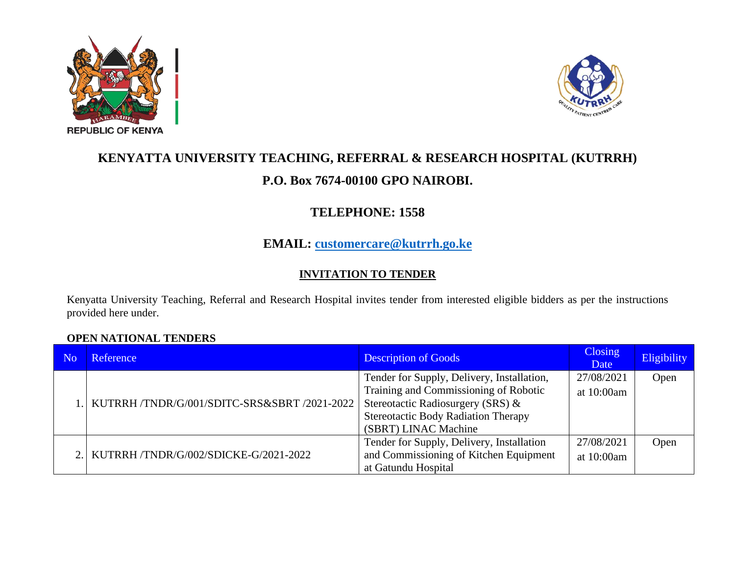



# **KENYATTA UNIVERSITY TEACHING, REFERRAL & RESEARCH HOSPITAL (KUTRRH) P.O. Box 7674-00100 GPO NAIROBI.**

# **TELEPHONE: 1558**

## **EMAIL: [customercare@kutrrh.go.ke](mailto:customercare@kutrrh.go.ke)**

### **INVITATION TO TENDER**

Kenyatta University Teaching, Referral and Research Hospital invites tender from interested eligible bidders as per the instructions provided here under.

#### **OPEN NATIONAL TENDERS**

| N <sub>0</sub> | Reference                                        | <b>Description of Goods</b>                                                | Closing<br>Date | Eligibility |
|----------------|--------------------------------------------------|----------------------------------------------------------------------------|-----------------|-------------|
|                | .   KUTRRH /TNDR/G/001/SDITC-SRS&SBRT /2021-2022 | Tender for Supply, Delivery, Installation,                                 | 27/08/2021      | Open        |
|                |                                                  | Training and Commissioning of Robotic<br>Stereotactic Radiosurgery (SRS) & | at 10:00am      |             |
|                |                                                  | <b>Stereotactic Body Radiation Therapy</b>                                 |                 |             |
|                |                                                  | (SBRT) LINAC Machine                                                       |                 |             |
|                | 2. KUTRRH /TNDR/G/002/SDICKE-G/2021-2022         | Tender for Supply, Delivery, Installation                                  | 27/08/2021      | Open        |
|                |                                                  | and Commissioning of Kitchen Equipment                                     | at 10:00am      |             |
|                |                                                  | at Gatundu Hospital                                                        |                 |             |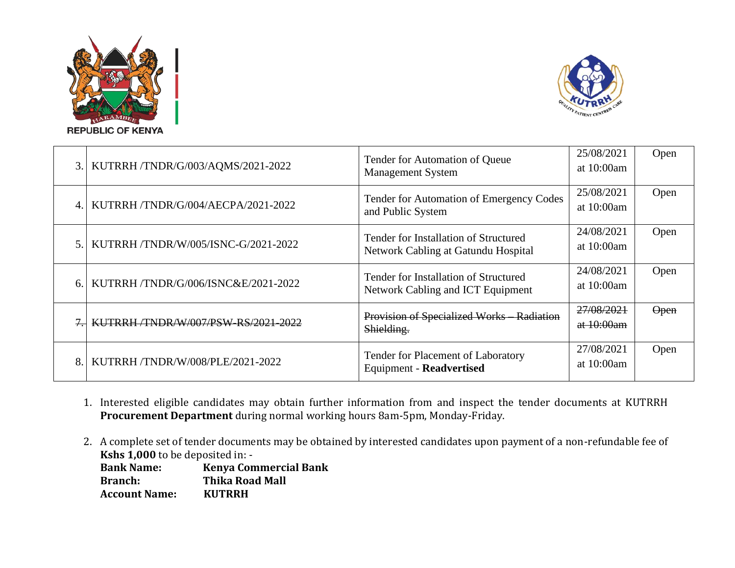



|                | 3. KUTRRH/TNDR/G/003/AQMS/2021-2022       | Tender for Automation of Queue<br><b>Management System</b>                        | 25/08/2021<br>at 10:00am | Open        |
|----------------|-------------------------------------------|-----------------------------------------------------------------------------------|--------------------------|-------------|
|                | KUTRRH/TNDR/G/004/AECPA/2021-2022         | Tender for Automation of Emergency Codes<br>and Public System                     | 25/08/2021<br>at 10:00am | Open        |
| 5 <sub>1</sub> | KUTRRH /TNDR/W/005/ISNC-G/2021-2022       | Tender for Installation of Structured<br>Network Cabling at Gatundu Hospital      | 24/08/2021<br>at 10:00am | Open        |
|                | KUTRRH/TNDR/G/006/ISNC&E/2021-2022        | Tender for Installation of Structured<br><b>Network Cabling and ICT Equipment</b> | 24/08/2021<br>at 10:00am | Open        |
|                | <b>KUTRRH/TNDR/W/007/PSW-RS/2021-2022</b> | Provision of Specialized Works Radiation<br>Shielding.                            | 27/08/2021<br>at 10:00am | <b>Open</b> |
| 8.             | KUTRRH/TNDR/W/008/PLE/2021-2022           | Tender for Placement of Laboratory<br><b>Equipment - Readvertised</b>             | 27/08/2021<br>at 10:00am | Open        |

- 1. Interested eligible candidates may obtain further information from and inspect the tender documents at KUTRRH **Procurement Department** during normal working hours 8am-5pm, Monday-Friday.
- 2. A complete set of tender documents may be obtained by interested candidates upon payment of a non-refundable fee of **Kshs 1,000** to be deposited in: -

| <b>Bank Name:</b>    | <b>Kenya Commercial Bank</b> |
|----------------------|------------------------------|
| <b>Branch:</b>       | <b>Thika Road Mall</b>       |
| <b>Account Name:</b> | <b>KUTRRH</b>                |